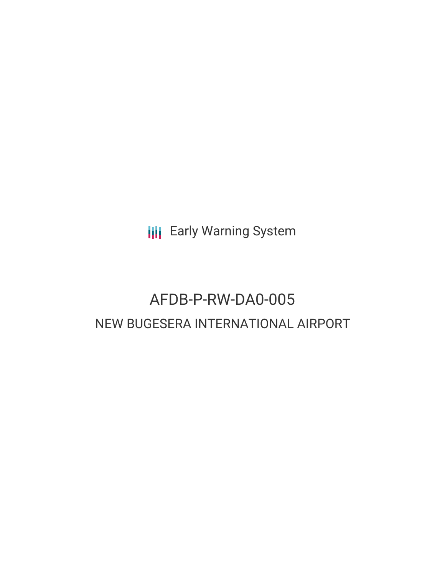**III** Early Warning System

# AFDB-P-RW-DA0-005 NEW BUGESERA INTERNATIONAL AIRPORT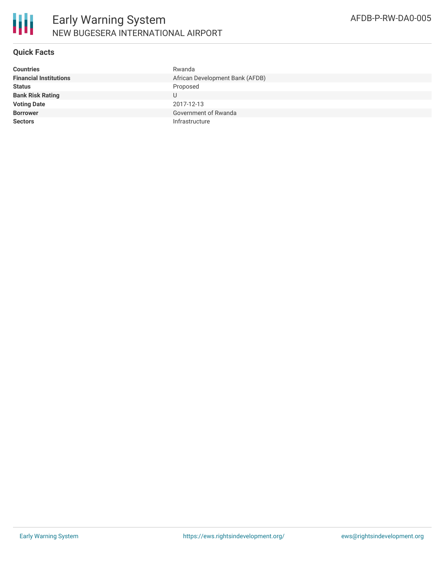

## **Quick Facts**

| <b>Countries</b>              | Rwanda                          |
|-------------------------------|---------------------------------|
| <b>Financial Institutions</b> | African Development Bank (AFDB) |
| <b>Status</b>                 | Proposed                        |
| <b>Bank Risk Rating</b>       |                                 |
| <b>Voting Date</b>            | 2017-12-13                      |
| <b>Borrower</b>               | Government of Rwanda            |
| <b>Sectors</b>                | Infrastructure                  |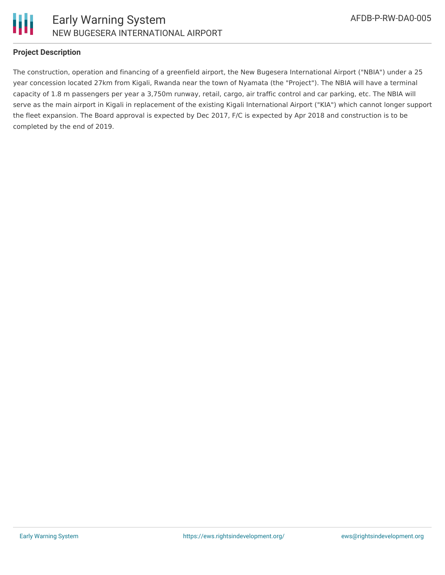

## **Project Description**

The construction, operation and financing of a greenfield airport, the New Bugesera International Airport ("NBIA") under a 25 year concession located 27km from Kigali, Rwanda near the town of Nyamata (the "Project"). The NBIA will have a terminal capacity of 1.8 m passengers per year a 3,750m runway, retail, cargo, air traffic control and car parking, etc. The NBIA will serve as the main airport in Kigali in replacement of the existing Kigali International Airport ("KIA") which cannot longer support the fleet expansion. The Board approval is expected by Dec 2017, F/C is expected by Apr 2018 and construction is to be completed by the end of 2019.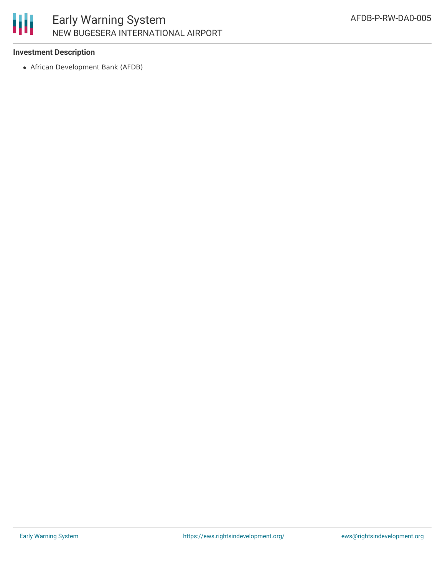## 朋 Early Warning System NEW BUGESERA INTERNATIONAL AIRPORT

### **Investment Description**

African Development Bank (AFDB)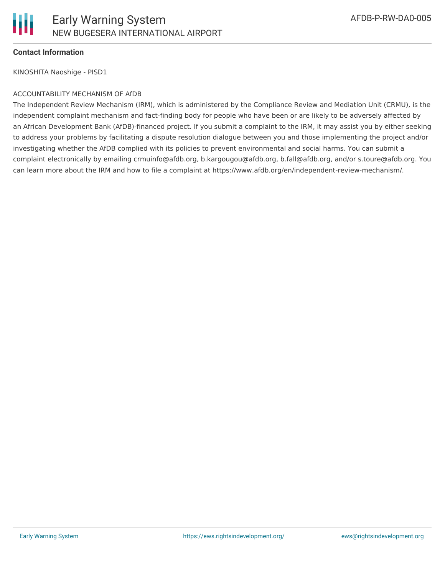

### **Contact Information**

KINOSHITA Naoshige - PISD1

#### ACCOUNTABILITY MECHANISM OF AfDB

The Independent Review Mechanism (IRM), which is administered by the Compliance Review and Mediation Unit (CRMU), is the independent complaint mechanism and fact-finding body for people who have been or are likely to be adversely affected by an African Development Bank (AfDB)-financed project. If you submit a complaint to the IRM, it may assist you by either seeking to address your problems by facilitating a dispute resolution dialogue between you and those implementing the project and/or investigating whether the AfDB complied with its policies to prevent environmental and social harms. You can submit a complaint electronically by emailing crmuinfo@afdb.org, b.kargougou@afdb.org, b.fall@afdb.org, and/or s.toure@afdb.org. You can learn more about the IRM and how to file a complaint at https://www.afdb.org/en/independent-review-mechanism/.